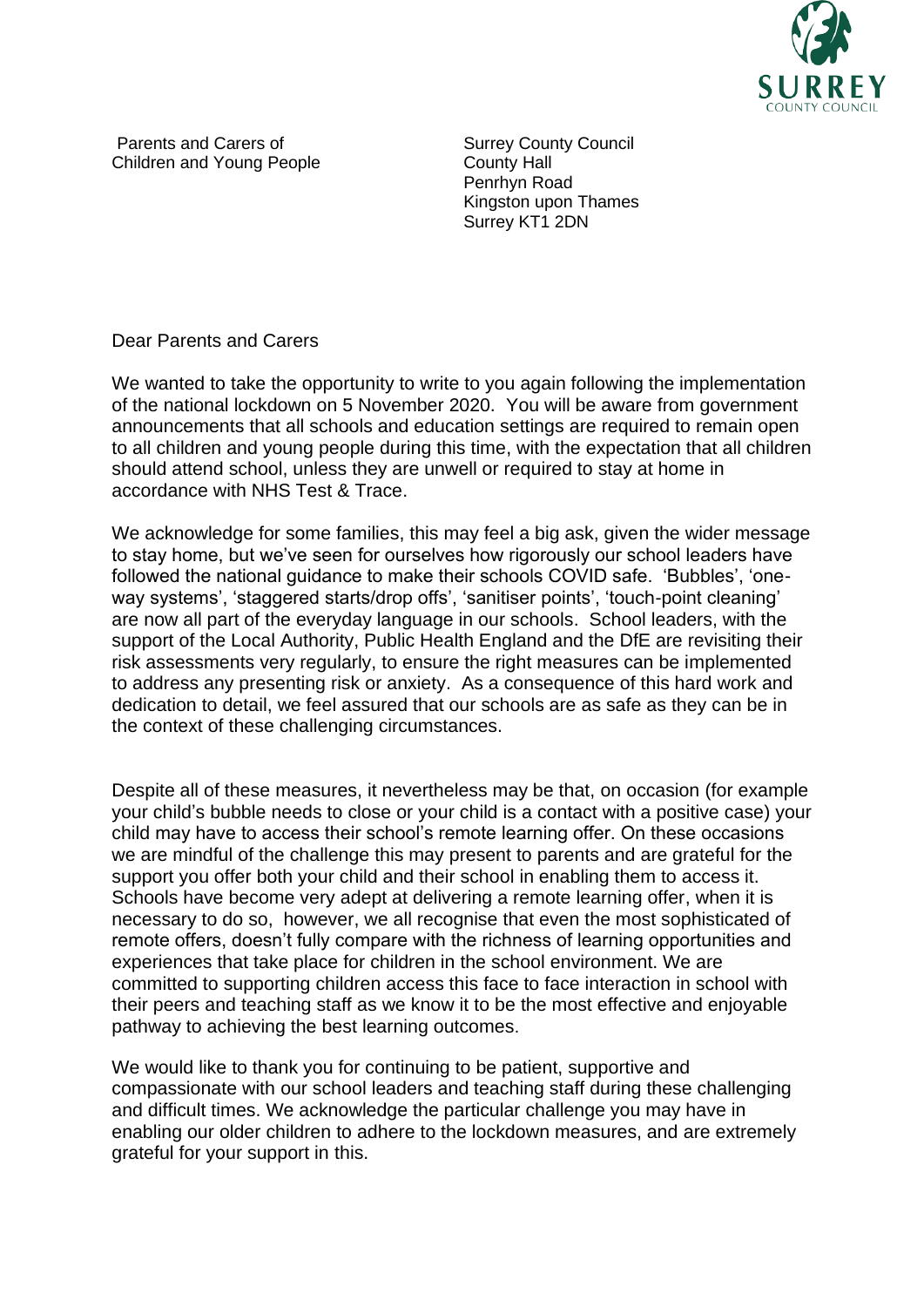

Parents and Carers of Children and Young People Surrey County Council County Hall Penrhyn Road Kingston upon Thames Surrey KT1 2DN

Dear Parents and Carers

We wanted to take the opportunity to write to you again following the implementation of the national lockdown on 5 November 2020. You will be aware from government announcements that all schools and education settings are required to remain open to all children and young people during this time, with the expectation that all children should attend school, unless they are unwell or required to stay at home in accordance with NHS Test & Trace.

We acknowledge for some families, this may feel a big ask, given the wider message to stay home, but we've seen for ourselves how rigorously our school leaders have followed the national guidance to make their schools COVID safe. 'Bubbles', 'oneway systems', 'staggered starts/drop offs', 'sanitiser points', 'touch-point cleaning' are now all part of the everyday language in our schools. School leaders, with the support of the Local Authority, Public Health England and the DfE are revisiting their risk assessments very regularly, to ensure the right measures can be implemented to address any presenting risk or anxiety. As a consequence of this hard work and dedication to detail, we feel assured that our schools are as safe as they can be in the context of these challenging circumstances.

Despite all of these measures, it nevertheless may be that, on occasion (for example your child's bubble needs to close or your child is a contact with a positive case) your child may have to access their school's remote learning offer. On these occasions we are mindful of the challenge this may present to parents and are grateful for the support you offer both your child and their school in enabling them to access it. Schools have become very adept at delivering a remote learning offer, when it is necessary to do so, however, we all recognise that even the most sophisticated of remote offers, doesn't fully compare with the richness of learning opportunities and experiences that take place for children in the school environment. We are committed to supporting children access this face to face interaction in school with their peers and teaching staff as we know it to be the most effective and enjoyable pathway to achieving the best learning outcomes.

We would like to thank you for continuing to be patient, supportive and compassionate with our school leaders and teaching staff during these challenging and difficult times. We acknowledge the particular challenge you may have in enabling our older children to adhere to the lockdown measures, and are extremely grateful for your support in this.